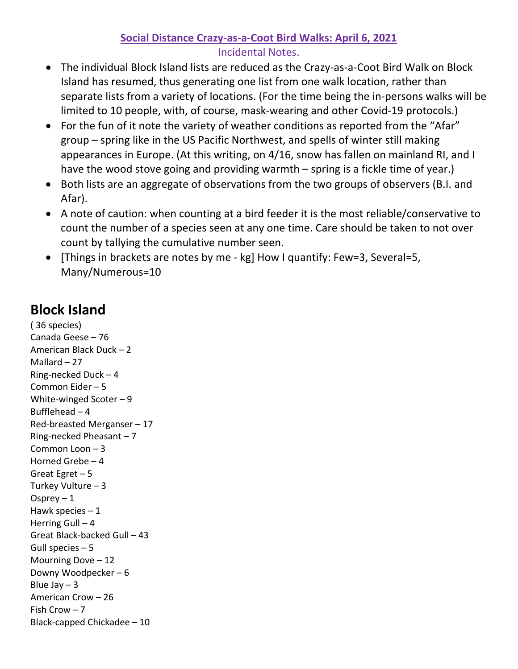## **Social Distance Crazy-as-a-Coot Bird Walks: April 6, 2021**

## Incidental Notes.

- The individual Block Island lists are reduced as the Crazy-as-a-Coot Bird Walk on Block Island has resumed, thus generating one list from one walk location, rather than separate lists from a variety of locations. (For the time being the in-persons walks will be limited to 10 people, with, of course, mask-wearing and other Covid-19 protocols.)
- For the fun of it note the variety of weather conditions as reported from the "Afar" group – spring like in the US Pacific Northwest, and spells of winter still making appearances in Europe. (At this writing, on 4/16, snow has fallen on mainland RI, and I have the wood stove going and providing warmth – spring is a fickle time of year.)
- Both lists are an aggregate of observations from the two groups of observers (B.I. and Afar).
- A note of caution: when counting at a bird feeder it is the most reliable/conservative to count the number of a species seen at any one time. Care should be taken to not over count by tallying the cumulative number seen.
- [Things in brackets are notes by me kg] How I quantify: Few=3, Several=5, Many/Numerous=10

## **Block Island**

( 36 species) Canada Geese – 76 American Black Duck – 2 Mallard  $-27$ Ring-necked Duck – 4 Common Eider – 5 White-winged Scoter – 9 Bufflehead  $-4$ Red-breasted Merganser – 17 Ring-necked Pheasant – 7 Common Loon – 3 Horned Grebe – 4 Great Egret – 5 Turkey Vulture – 3 Osprey  $-1$ Hawk species  $-1$ Herring Gull  $-4$ Great Black-backed Gull – 43 Gull species – 5 Mourning Dove – 12 Downy Woodpecker – 6 Blue Jay  $-3$ American Crow – 26 Fish Crow – 7 Black-capped Chickadee – 10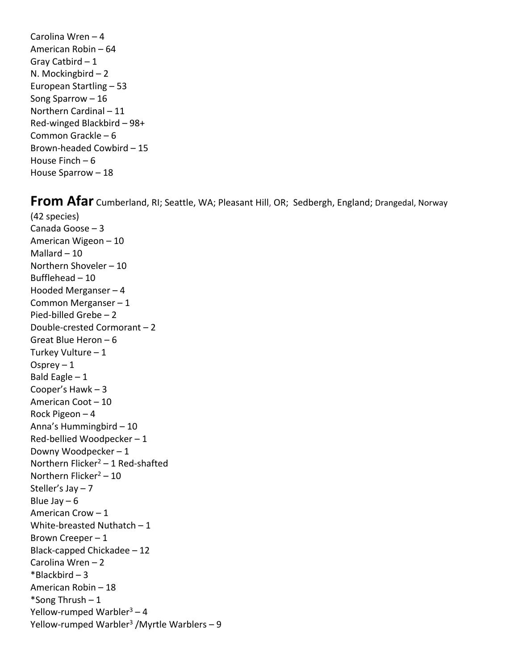Carolina Wren – 4 American Robin – 64 Gray Catbird  $-1$ N. Mockingbird – 2 European Startling – 53 Song Sparrow – 16 Northern Cardinal – 11 Red-winged Blackbird – 98+ Common Grackle – 6 Brown-headed Cowbird – 15 House Finch – 6 House Sparrow – 18

**From Afar** Cumberland, RI; Seattle, WA; Pleasant Hill, OR; Sedbergh, England; Drangedal, Norway

(42 species) Canada Goose – 3 American Wigeon – 10 Mallard  $-10$ Northern Shoveler – 10 Bufflehead – 10 Hooded Merganser – 4 Common Merganser – 1 Pied-billed Grebe – 2 Double-crested Cormorant – 2 Great Blue Heron – 6 Turkey Vulture – 1 Osprey  $-1$ Bald Eagle  $-1$ Cooper's Hawk – 3 American Coot – 10 Rock Pigeon – 4 Anna's Hummingbird – 10 Red-bellied Woodpecker – 1 Downy Woodpecker – 1 Northern Flicker<sup>2</sup> – 1 Red-shafted Northern Flicker<sup>2</sup> – 10 Steller's Jay – 7 Blue Jay  $-6$ American Crow – 1 White-breasted Nuthatch  $-1$ Brown Creeper – 1 Black-capped Chickadee – 12 Carolina Wren – 2  $*$ Blackbird – 3 American Robin – 18 \*Song Thrush  $-1$ Yellow-rumped Warbler $3 - 4$ Yellow-rumped Warbler<sup>3</sup> /Myrtle Warblers - 9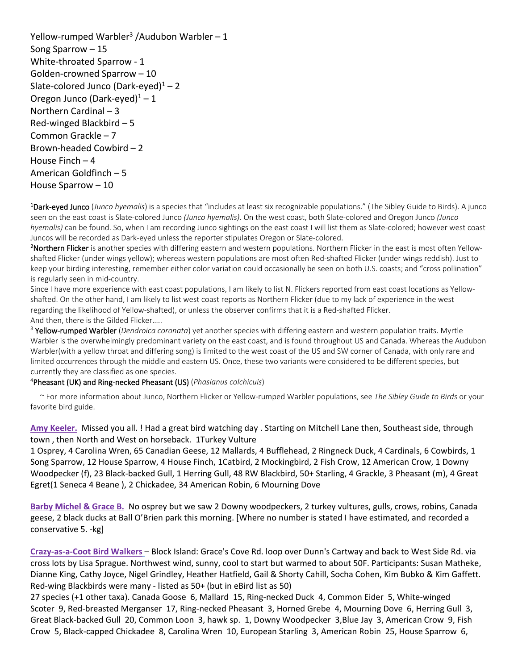Yellow-rumped Warbler<sup>3</sup> /Audubon Warbler – 1 Song Sparrow – 15 White-throated Sparrow - 1 Golden-crowned Sparrow – 10 Slate-colored Junco (Dark-eyed) $1 - 2$ Oregon Junco (Dark-eyed) $1 - 1$ Northern Cardinal – 3 Red-winged Blackbird – 5 Common Grackle – 7 Brown-headed Cowbird – 2 House Finch – 4 American Goldfinch – 5 House Sparrow – 10

1 Dark-eyed Junco (*Junco hyemalis*) is a species that "includes at least six recognizable populations." (The Sibley Guide to Birds). A junco seen on the east coast is Slate-colored Junco *(Junco hyemalis)*. On the west coast, both Slate-colored and Oregon Junco *(Junco hyemalis)* can be found. So, when I am recording Junco sightings on the east coast I will list them as Slate-colored; however west coast Juncos will be recorded as Dark-eyed unless the reporter stipulates Oregon or Slate-colored.

2 Northern Flicker is another species with differing eastern and western populations. Northern Flicker in the east is most often Yellowshafted Flicker (under wings yellow); whereas western populations are most often Red-shafted Flicker (under wings reddish). Just to keep your birding interesting, remember either color variation could occasionally be seen on both U.S. coasts; and "cross pollination" is regularly seen in mid-country.

Since I have more experience with east coast populations, I am likely to list N. Flickers reported from east coast locations as Yellowshafted. On the other hand, I am likely to list west coast reports as Northern Flicker (due to my lack of experience in the west regarding the likelihood of Yellow-shafted), or unless the observer confirms that it is a Red-shafted Flicker. And then, there is the Gilded Flicker…..

<sup>3</sup> Yellow-rumped Warbler (*Dendroica coronata*) yet another species with differing eastern and western population traits. Myrtle Warbler is the overwhelmingly predominant variety on the east coast, and is found throughout US and Canada. Whereas the Audubon Warbler(with a yellow throat and differing song) is limited to the west coast of the US and SW corner of Canada, with only rare and limited occurrences through the middle and eastern US. Once, these two variants were considered to be different species, but currently they are classified as one species.

## 4 Pheasant (UK) and Ring-necked Pheasant (US) (*Phasianus colchicuis*)

 ~ For more information about Junco, Northern Flicker or Yellow-rumped Warbler populations, see *The Sibley Guide to Birds* or your favorite bird guide.

**Amy Keeler.** Missed you all. ! Had a great bird watching day . Starting on Mitchell Lane then, Southeast side, through town , then North and West on horseback. 1Turkey Vulture

1 Osprey, 4 Carolina Wren, 65 Canadian Geese, 12 Mallards, 4 Bufflehead, 2 Ringneck Duck, 4 Cardinals, 6 Cowbirds, 1 Song Sparrow, 12 House Sparrow, 4 House Finch, 1Catbird, 2 Mockingbird, 2 Fish Crow, 12 American Crow, 1 Downy Woodpecker (f), 23 Black-backed Gull, 1 Herring Gull, 48 RW Blackbird, 50+ Starling, 4 Grackle, 3 Pheasant (m), 4 Great Egret(1 Seneca 4 Beane ), 2 Chickadee, 34 American Robin, 6 Mourning Dove

**Barby Michel & Grace B.** No osprey but we saw 2 Downy woodpeckers, 2 turkey vultures, gulls, crows, robins, Canada geese, 2 black ducks at Ball O'Brien park this morning. [Where no number is stated I have estimated, and recorded a conservative 5. -kg]

**Crazy-as-a-Coot Bird Walkers** – Block Island: Grace's Cove Rd. loop over Dunn's Cartway and back to West Side Rd. via cross lots by Lisa Sprague. Northwest wind, sunny, cool to start but warmed to about 50F. Participants: Susan Matheke, Dianne King, Cathy Joyce, Nigel Grindley, Heather Hatfield, Gail & Shorty Cahill, Socha Cohen, Kim Bubko & Kim Gaffett. Red-wing Blackbirds were many - listed as 50+ (but in eBird list as 50)

27 species (+1 other taxa). Canada Goose 6, Mallard 15, Ring-necked Duck 4, Common Eider 5, White-winged Scoter 9, Red-breasted Merganser 17, Ring-necked Pheasant 3, Horned Grebe 4, Mourning Dove 6, Herring Gull 3, Great Black-backed Gull 20, Common Loon 3, hawk sp. 1, Downy Woodpecker 3,Blue Jay 3, American Crow 9, Fish Crow 5, Black-capped Chickadee 8, Carolina Wren 10, European Starling 3, American Robin 25, House Sparrow 6,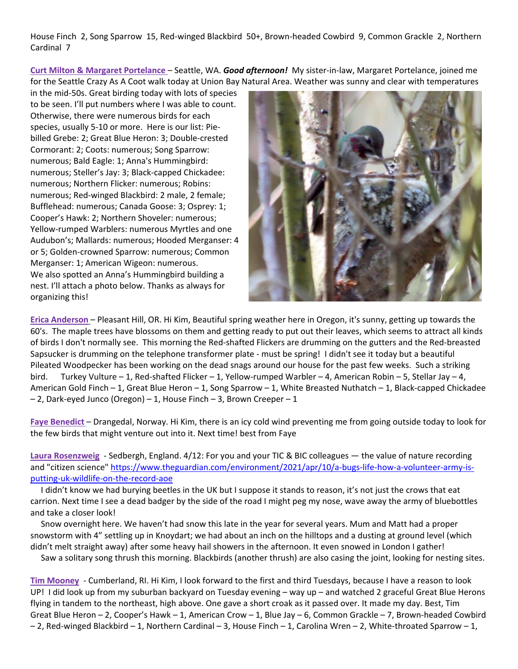House Finch 2, Song Sparrow 15, Red-winged Blackbird 50+, Brown-headed Cowbird 9, Common Grackle 2, Northern Cardinal 7

**Curt Milton & Margaret Portelance** – Seattle, WA. *Good afternoon!* My sister-in-law, Margaret Portelance, joined me for the Seattle Crazy As A Coot walk today at Union Bay Natural Area. Weather was sunny and clear with temperatures

in the mid-50s. Great birding today with lots of species to be seen. I'll put numbers where I was able to count. Otherwise, there were numerous birds for each species, usually 5-10 or more. Here is our list: Piebilled Grebe: 2; Great Blue Heron: 3; Double-crested Cormorant: 2; Coots: numerous; Song Sparrow: numerous; Bald Eagle: 1; Anna's Hummingbird: numerous; Steller's Jay: 3; Black-capped Chickadee: numerous; Northern Flicker: numerous; Robins: numerous; Red-winged Blackbird: 2 male, 2 female; Bufflehead: numerous; Canada Goose: 3; Osprey: 1; Cooper's Hawk: 2; Northern Shoveler: numerous; Yellow-rumped Warblers: numerous Myrtles and one Audubon's; Mallards: numerous; Hooded Merganser: 4 or 5; Golden-crowned Sparrow: numerous; Common Merganser: 1; American Wigeon: numerous. We also spotted an Anna's Hummingbird building a nest. I'll attach a photo below. Thanks as always for organizing this!



**Erica Anderson** – Pleasant Hill, OR. Hi Kim, Beautiful spring weather here in Oregon, it's sunny, getting up towards the 60's. The maple trees have blossoms on them and getting ready to put out their leaves, which seems to attract all kinds of birds I don't normally see. This morning the Red-shafted Flickers are drumming on the gutters and the Red-breasted Sapsucker is drumming on the telephone transformer plate - must be spring! I didn't see it today but a beautiful Pileated Woodpecker has been working on the dead snags around our house for the past few weeks. Such a striking bird. Turkey Vulture – 1, Red-shafted Flicker – 1, Yellow-rumped Warbler – 4, American Robin – 5, Stellar Jay – 4, American Gold Finch – 1, Great Blue Heron – 1, Song Sparrow – 1, White Breasted Nuthatch – 1, Black-capped Chickadee – 2, Dark-eyed Junco (Oregon) – 1, House Finch – 3, Brown Creeper – 1

**Faye Benedict** – Drangedal, Norway. Hi Kim, there is an icy cold wind preventing me from going outside today to look for the few birds that might venture out into it. Next time! best from Faye

**Laura Rosenzweig** - Sedbergh, England. 4/12: For you and your TIC & BIC colleagues — the value of nature recording and "citizen science" [https://www.theguardian.com/environment/2021/apr/10/a-bugs-life-how-a-volunteer-army-is](https://www.theguardian.com/environment/2021/apr/10/a-bugs-life-how-a-volunteer-army-is-putting-uk-wildlife-on-the-record-aoe)[putting-uk-wildlife-on-the-record-aoe](https://www.theguardian.com/environment/2021/apr/10/a-bugs-life-how-a-volunteer-army-is-putting-uk-wildlife-on-the-record-aoe)

I didn't know we had burying beetles in the UK but I suppose it stands to reason, it's not just the crows that eat carrion. Next time I see a dead badger by the side of the road I might peg my nose, wave away the army of bluebottles and take a closer look!

 Snow overnight here. We haven't had snow this late in the year for several years. Mum and Matt had a proper snowstorm with 4" settling up in Knoydart; we had about an inch on the hilltops and a dusting at ground level (which didn't melt straight away) after some heavy hail showers in the afternoon. It even snowed in London I gather!

Saw a solitary song thrush this morning. Blackbirds (another thrush) are also casing the joint, looking for nesting sites.

**Tim Mooney** - Cumberland, RI. Hi Kim, I look forward to the first and third Tuesdays, because I have a reason to look UP! I did look up from my suburban backyard on Tuesday evening – way up – and watched 2 graceful Great Blue Herons flying in tandem to the northeast, high above. One gave a short croak as it passed over. It made my day. Best, Tim Great Blue Heron – 2, Cooper's Hawk – 1, American Crow – 1, Blue Jay – 6, Common Grackle – 7, Brown-headed Cowbird – 2, Red-winged Blackbird – 1, Northern Cardinal – 3, House Finch – 1, Carolina Wren – 2, White-throated Sparrow – 1,